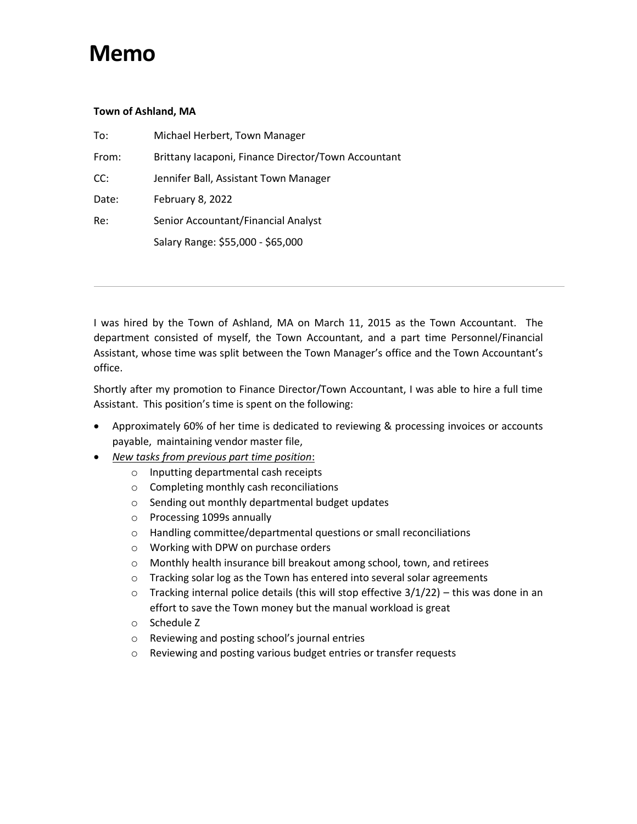## **Memo**

## **Town of Ashland, MA**

| To:   | Michael Herbert, Town Manager                       |  |
|-------|-----------------------------------------------------|--|
| From: | Brittany Iacaponi, Finance Director/Town Accountant |  |
| CC:   | Jennifer Ball, Assistant Town Manager               |  |
| Date: | February 8, 2022                                    |  |
| Re:   | Senior Accountant/Financial Analyst                 |  |
|       | Salary Range: \$55,000 - \$65,000                   |  |

I was hired by the Town of Ashland, MA on March 11, 2015 as the Town Accountant. The department consisted of myself, the Town Accountant, and a part time Personnel/Financial Assistant, whose time was split between the Town Manager's office and the Town Accountant's office.

Shortly after my promotion to Finance Director/Town Accountant, I was able to hire a full time Assistant. This position's time is spent on the following:

- Approximately 60% of her time is dedicated to reviewing & processing invoices or accounts payable, maintaining vendor master file,
- *New tasks from previous part time position*:
	- o Inputting departmental cash receipts
	- o Completing monthly cash reconciliations
	- o Sending out monthly departmental budget updates
	- o Processing 1099s annually
	- o Handling committee/departmental questions or small reconciliations
	- o Working with DPW on purchase orders
	- o Monthly health insurance bill breakout among school, town, and retirees
	- o Tracking solar log as the Town has entered into several solar agreements
	- $\circ$  Tracking internal police details (this will stop effective 3/1/22) this was done in an effort to save the Town money but the manual workload is great
	- o Schedule Z
	- o Reviewing and posting school's journal entries
	- o Reviewing and posting various budget entries or transfer requests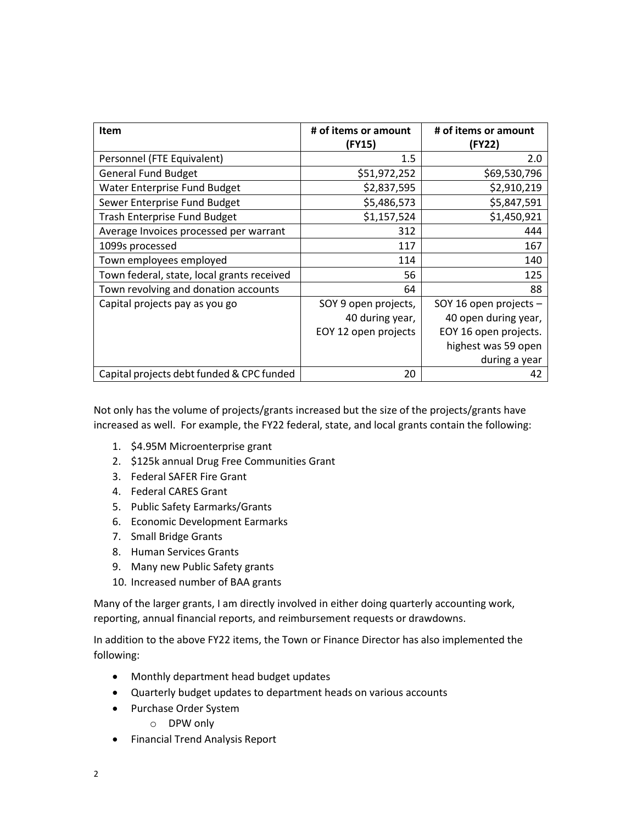| <b>Item</b>                                | # of items or amount<br>(FY15) | # of items or amount<br>(FY22) |
|--------------------------------------------|--------------------------------|--------------------------------|
| Personnel (FTE Equivalent)                 | 1.5                            | 2.0                            |
| <b>General Fund Budget</b>                 | \$51,972,252                   | \$69,530,796                   |
| Water Enterprise Fund Budget               | \$2,837,595                    | \$2,910,219                    |
| Sewer Enterprise Fund Budget               | \$5,486,573                    | \$5,847,591                    |
| Trash Enterprise Fund Budget               | \$1,157,524                    | \$1,450,921                    |
| Average Invoices processed per warrant     | 312                            | 444                            |
| 1099s processed                            | 117                            | 167                            |
| Town employees employed                    | 114                            | 140                            |
| Town federal, state, local grants received | 56                             | 125                            |
| Town revolving and donation accounts       | 64                             | 88                             |
| Capital projects pay as you go             | SOY 9 open projects,           | SOY 16 open projects -         |
|                                            | 40 during year,                | 40 open during year,           |
|                                            | EOY 12 open projects           | EOY 16 open projects.          |
|                                            |                                | highest was 59 open            |
|                                            |                                | during a year                  |
| Capital projects debt funded & CPC funded  | 20                             | 42                             |

Not only has the volume of projects/grants increased but the size of the projects/grants have increased as well. For example, the FY22 federal, state, and local grants contain the following:

- 1. \$4.95M Microenterprise grant
- 2. \$125k annual Drug Free Communities Grant
- 3. Federal SAFER Fire Grant
- 4. Federal CARES Grant
- 5. Public Safety Earmarks/Grants
- 6. Economic Development Earmarks
- 7. Small Bridge Grants
- 8. Human Services Grants
- 9. Many new Public Safety grants
- 10. Increased number of BAA grants

Many of the larger grants, I am directly involved in either doing quarterly accounting work, reporting, annual financial reports, and reimbursement requests or drawdowns.

In addition to the above FY22 items, the Town or Finance Director has also implemented the following:

- Monthly department head budget updates
- Quarterly budget updates to department heads on various accounts
- Purchase Order System
	- o DPW only
- Financial Trend Analysis Report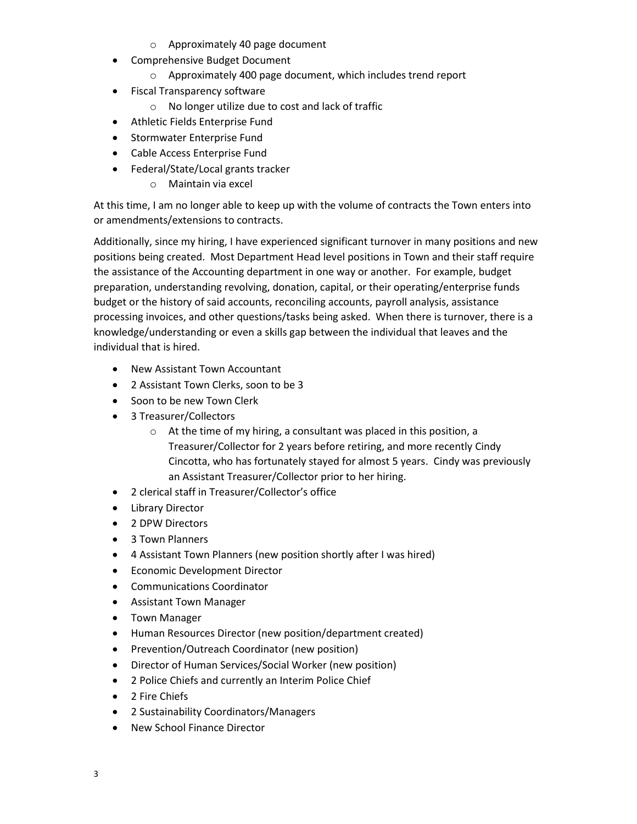- o Approximately 40 page document
- Comprehensive Budget Document
	- o Approximately 400 page document, which includes trend report
- Fiscal Transparency software
	- o No longer utilize due to cost and lack of traffic
- Athletic Fields Enterprise Fund
- **•** Stormwater Enterprise Fund
- Cable Access Enterprise Fund
- Federal/State/Local grants tracker
	- o Maintain via excel

At this time, I am no longer able to keep up with the volume of contracts the Town enters into or amendments/extensions to contracts.

Additionally, since my hiring, I have experienced significant turnover in many positions and new positions being created. Most Department Head level positions in Town and their staff require the assistance of the Accounting department in one way or another. For example, budget preparation, understanding revolving, donation, capital, or their operating/enterprise funds budget or the history of said accounts, reconciling accounts, payroll analysis, assistance processing invoices, and other questions/tasks being asked. When there is turnover, there is a knowledge/understanding or even a skills gap between the individual that leaves and the individual that is hired.

- New Assistant Town Accountant
- 2 Assistant Town Clerks, soon to be 3
- Soon to be new Town Clerk
- 3 Treasurer/Collectors
	- o At the time of my hiring, a consultant was placed in this position, a Treasurer/Collector for 2 years before retiring, and more recently Cindy Cincotta, who has fortunately stayed for almost 5 years. Cindy was previously an Assistant Treasurer/Collector prior to her hiring.
- 2 clerical staff in Treasurer/Collector's office
- Library Director
- 2 DPW Directors
- 3 Town Planners
- 4 Assistant Town Planners (new position shortly after I was hired)
- **•** Economic Development Director
- Communications Coordinator
- Assistant Town Manager
- Town Manager
- Human Resources Director (new position/department created)
- Prevention/Outreach Coordinator (new position)
- Director of Human Services/Social Worker (new position)
- 2 Police Chiefs and currently an Interim Police Chief
- 2 Fire Chiefs
- 2 Sustainability Coordinators/Managers
- New School Finance Director